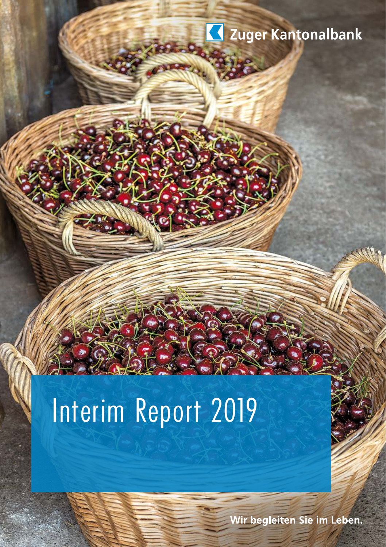

# Interim Report 2019

Wir begleiten Sie im Leben.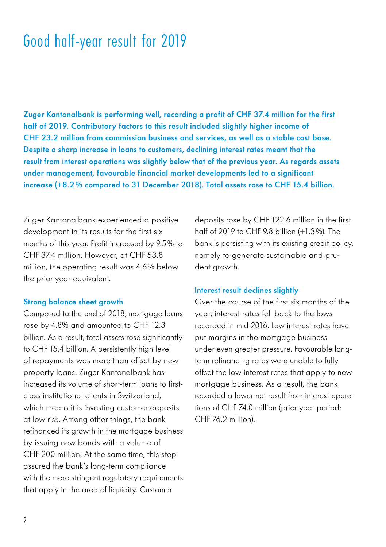### Good half-year result for 2019

Zuger Kantonalbank is performing well, recording a profit of CHF 37.4 million for the first half of 2019. Contributory factors to this result included slightly higher income of CHF 23.2 million from commission business and services, as well as a stable cost base. Despite a sharp increase in loans to customers, declining interest rates meant that the result from interest operations was slightly below that of the previous year. As regards assets under management, favourable financial market developments led to a significant increase (+8.2% compared to 31 December 2018). Total assets rose to CHF 15.4 billion.

Zuger Kantonalbank experienced a positive development in its results for the first six months of this year. Profit increased by 9.5% to CHF 37.4 million. However, at CHF 53.8 million, the operating result was 4.6% below the prior-year equivalent.

#### Strong balance sheet growth

Compared to the end of 2018, mortgage loans rose by 4.8% and amounted to CHF 12.3 billion. As a result, total assets rose significantly to CHF 15.4 billion. A persistently high level of repayments was more than offset by new property loans. Zuger Kantonalbank has increased its volume of short-term loans to firstclass institutional clients in Switzerland, which means it is investing customer deposits at low risk. Among other things, the bank refinanced its growth in the mortgage business by issuing new bonds with a volume of CHF 200 million. At the same time, this step assured the bank's long-term compliance with the more stringent regulatory requirements that apply in the area of liquidity. Customer

deposits rose by CHF 122.6 million in the first half of 2019 to CHF 9.8 billion (+1.3%). The bank is persisting with its existing credit policy, namely to generate sustainable and prudent arowth.

#### Interest result declines slightly

Over the course of the first six months of the year, interest rates fell back to the lows recorded in mid-2016. Low interest rates have put margins in the mortgage business under even greater pressure. Favourable longterm refinancing rates were unable to fully offset the low interest rates that apply to new mortgage business. As a result, the bank recorded a lower net result from interest operations of CHF 74.0 million (prior-year period: CHF 76.2 million).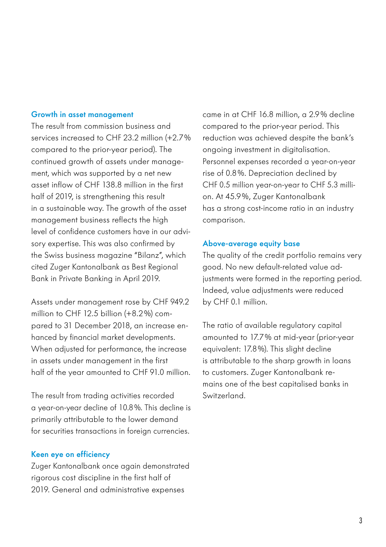#### Growth in asset management

The result from commission business and services increased to CHF 23.2 million (+2.7% compared to the prior-year period). The continued growth of assets under management, which was supported by a net new asset inflow of CHF 138.8 million in the first half of 2019, is strengthening this result in a sustainable way. The growth of the asset management business reflects the high level of confidence customers have in our advisory expertise. This was also confirmed by the Swiss business magazine "Bilanz", which cited Zuger Kantonalbank as Best Regional Bank in Private Banking in April 2019.

Assets under management rose by CHF 949.2 million to CHF 12.5 billion (+8.2%) compared to 31 December 2018, an increase enhanced by financial market developments. When adjusted for performance, the increase in assets under management in the first half of the year amounted to CHF 91.0 million.

The result from trading activities recorded a year-on-year decline of 10.8%. This decline is primarily attributable to the lower demand for securities transactions in foreign currencies.

#### Keen eye on efficiency

Zuger Kantonalbank once again demonstrated rigorous cost discipline in the first half of 2019. General and administrative expenses

came in at CHF 16.8 million, a 2.9% decline compared to the prior-year period. This reduction was achieved despite the bank's ongoing investment in digitalisation. Personnel expenses recorded a year-on-year rise of 0.8%. Depreciation declined by CHF 0.5 million year-on-year to CHF 5.3 million. At 45.9%, Zuger Kantonalbank has a strong cost-income ratio in an industry comparison.

#### Above-average equity base

The quality of the credit portfolio remains very good. No new default-related value adjustments were formed in the reporting period. Indeed, value adjustments were reduced by CHF 0.1 million.

The ratio of available regulatory capital amounted to 17.7% at mid-year (prior-year equivalent: 17.8%). This slight decline is attributable to the sharp growth in loans to customers. Zuger Kantonalbank remains one of the best capitalised banks in Switzerland.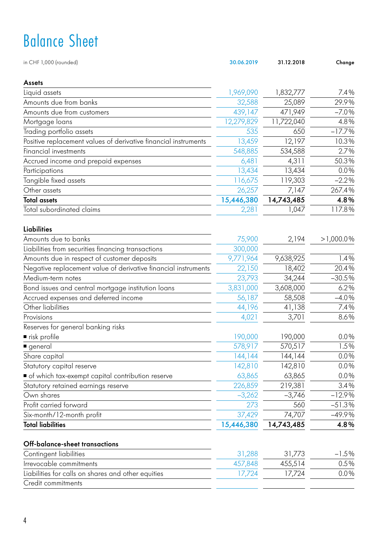# Balance Sheet

| Assets<br>Liquid assets<br>1,969,090<br>1,832,777<br>7.4%<br>29.9%<br>Amounts due from banks<br>25,089<br>32,588<br>$-7.0%$<br>Amounts due from customers<br>439,147<br>471,949<br>12,279,829<br>11,722,040<br>4.8%<br>Mortgage loans<br>$-17.7%$<br>535<br>Trading portfolio assets<br>650<br>10.3%<br>Positive replacement values of derivative financial instruments<br>13,459<br>12,197<br>548,885<br>2.7%<br>Financial investments<br>534,588<br>50.3%<br>Accrued income and prepaid expenses<br>6,481<br>4,311<br>0.0%<br>13,434<br>13,434<br>Participations<br>$-2.2%$<br>Tangible fixed assets<br>116,675<br>119,303<br>26,257<br>Other assets<br>267.4%<br>7,147<br>15,446,380<br>14,743,485<br>4.8%<br><b>Total assets</b><br>Total subordinated claims<br>2,281<br>1,047<br>117.8%<br>Liabilities<br>Amounts due to banks<br>75,900<br>2,194<br>>1,000.0%<br>Liabilities from securities financing transactions<br>300,000<br>9,771,964<br>9,638,925<br>1.4%<br>Amounts due in respect of customer deposits<br>20.4%<br>Negative replacement value of derivative financial instruments<br>22,150<br>18,402<br>Medium-term notes<br>23,793<br>34,244<br>$-30.5%$<br>Bond issues and central mortgage institution loans<br>3,831,000<br>3,608,000<br>6.2%<br>56,187<br>$-4.0%$<br>Accrued expenses and deferred income<br>58,508<br>Other liabilities<br>44,196<br>7.4%<br>41,138<br>4,021<br>3,701<br>8.6%<br>Provisions<br>Reserves for general banking risks<br>190,000<br>190,000<br>0.0%<br>■ risk profile<br>578,917<br>1.5%<br>570,517<br>general<br>Share capital<br>0.0%<br>144,144<br>144, 144<br>Statutory capital reserve<br>142,810<br>0.0%<br>142,810<br>of which tax-exempt capital contribution reserve<br>63,865<br>63,865<br>0.0%<br>226,859<br>219,381<br>3.4%<br>Statutory retained earnings reserve<br>$-12.9%$<br>$-3,262$<br>$-3,746$<br>Own shares<br>560<br>$-51.3%$<br>Profit carried forward<br>273<br>Six-month/12-month profit<br>37,429<br>$-49.9%$<br>74,707<br><b>Total liabilities</b><br>15,446,380<br>14,743,485<br>4.8%<br>Off-balance-sheet transactions<br>Contingent liabilities<br>31,288<br>$-1.5%$<br>31,773<br>455,514<br>0.5%<br>Irrevocable commitments<br>457,848<br>Liabilities for calls on shares and other equities<br>17,724<br>17,724<br>0.0%<br>Credit commitments | in CHF 1,000 (rounded) | 30.06.2019 | 31.12.2018 | Change |
|----------------------------------------------------------------------------------------------------------------------------------------------------------------------------------------------------------------------------------------------------------------------------------------------------------------------------------------------------------------------------------------------------------------------------------------------------------------------------------------------------------------------------------------------------------------------------------------------------------------------------------------------------------------------------------------------------------------------------------------------------------------------------------------------------------------------------------------------------------------------------------------------------------------------------------------------------------------------------------------------------------------------------------------------------------------------------------------------------------------------------------------------------------------------------------------------------------------------------------------------------------------------------------------------------------------------------------------------------------------------------------------------------------------------------------------------------------------------------------------------------------------------------------------------------------------------------------------------------------------------------------------------------------------------------------------------------------------------------------------------------------------------------------------------------------------------------------------------------------------------------------------------------------------------------------------------------------------------------------------------------------------------------------------------------------------------------------------------------------------------------------------------------------------------------------------------------------------------------------------------------------------------------------------------------------------------------------|------------------------|------------|------------|--------|
|                                                                                                                                                                                                                                                                                                                                                                                                                                                                                                                                                                                                                                                                                                                                                                                                                                                                                                                                                                                                                                                                                                                                                                                                                                                                                                                                                                                                                                                                                                                                                                                                                                                                                                                                                                                                                                                                                                                                                                                                                                                                                                                                                                                                                                                                                                                                  |                        |            |            |        |
|                                                                                                                                                                                                                                                                                                                                                                                                                                                                                                                                                                                                                                                                                                                                                                                                                                                                                                                                                                                                                                                                                                                                                                                                                                                                                                                                                                                                                                                                                                                                                                                                                                                                                                                                                                                                                                                                                                                                                                                                                                                                                                                                                                                                                                                                                                                                  |                        |            |            |        |
|                                                                                                                                                                                                                                                                                                                                                                                                                                                                                                                                                                                                                                                                                                                                                                                                                                                                                                                                                                                                                                                                                                                                                                                                                                                                                                                                                                                                                                                                                                                                                                                                                                                                                                                                                                                                                                                                                                                                                                                                                                                                                                                                                                                                                                                                                                                                  |                        |            |            |        |
|                                                                                                                                                                                                                                                                                                                                                                                                                                                                                                                                                                                                                                                                                                                                                                                                                                                                                                                                                                                                                                                                                                                                                                                                                                                                                                                                                                                                                                                                                                                                                                                                                                                                                                                                                                                                                                                                                                                                                                                                                                                                                                                                                                                                                                                                                                                                  |                        |            |            |        |
|                                                                                                                                                                                                                                                                                                                                                                                                                                                                                                                                                                                                                                                                                                                                                                                                                                                                                                                                                                                                                                                                                                                                                                                                                                                                                                                                                                                                                                                                                                                                                                                                                                                                                                                                                                                                                                                                                                                                                                                                                                                                                                                                                                                                                                                                                                                                  |                        |            |            |        |
|                                                                                                                                                                                                                                                                                                                                                                                                                                                                                                                                                                                                                                                                                                                                                                                                                                                                                                                                                                                                                                                                                                                                                                                                                                                                                                                                                                                                                                                                                                                                                                                                                                                                                                                                                                                                                                                                                                                                                                                                                                                                                                                                                                                                                                                                                                                                  |                        |            |            |        |
|                                                                                                                                                                                                                                                                                                                                                                                                                                                                                                                                                                                                                                                                                                                                                                                                                                                                                                                                                                                                                                                                                                                                                                                                                                                                                                                                                                                                                                                                                                                                                                                                                                                                                                                                                                                                                                                                                                                                                                                                                                                                                                                                                                                                                                                                                                                                  |                        |            |            |        |
|                                                                                                                                                                                                                                                                                                                                                                                                                                                                                                                                                                                                                                                                                                                                                                                                                                                                                                                                                                                                                                                                                                                                                                                                                                                                                                                                                                                                                                                                                                                                                                                                                                                                                                                                                                                                                                                                                                                                                                                                                                                                                                                                                                                                                                                                                                                                  |                        |            |            |        |
|                                                                                                                                                                                                                                                                                                                                                                                                                                                                                                                                                                                                                                                                                                                                                                                                                                                                                                                                                                                                                                                                                                                                                                                                                                                                                                                                                                                                                                                                                                                                                                                                                                                                                                                                                                                                                                                                                                                                                                                                                                                                                                                                                                                                                                                                                                                                  |                        |            |            |        |
|                                                                                                                                                                                                                                                                                                                                                                                                                                                                                                                                                                                                                                                                                                                                                                                                                                                                                                                                                                                                                                                                                                                                                                                                                                                                                                                                                                                                                                                                                                                                                                                                                                                                                                                                                                                                                                                                                                                                                                                                                                                                                                                                                                                                                                                                                                                                  |                        |            |            |        |
|                                                                                                                                                                                                                                                                                                                                                                                                                                                                                                                                                                                                                                                                                                                                                                                                                                                                                                                                                                                                                                                                                                                                                                                                                                                                                                                                                                                                                                                                                                                                                                                                                                                                                                                                                                                                                                                                                                                                                                                                                                                                                                                                                                                                                                                                                                                                  |                        |            |            |        |
|                                                                                                                                                                                                                                                                                                                                                                                                                                                                                                                                                                                                                                                                                                                                                                                                                                                                                                                                                                                                                                                                                                                                                                                                                                                                                                                                                                                                                                                                                                                                                                                                                                                                                                                                                                                                                                                                                                                                                                                                                                                                                                                                                                                                                                                                                                                                  |                        |            |            |        |
|                                                                                                                                                                                                                                                                                                                                                                                                                                                                                                                                                                                                                                                                                                                                                                                                                                                                                                                                                                                                                                                                                                                                                                                                                                                                                                                                                                                                                                                                                                                                                                                                                                                                                                                                                                                                                                                                                                                                                                                                                                                                                                                                                                                                                                                                                                                                  |                        |            |            |        |
|                                                                                                                                                                                                                                                                                                                                                                                                                                                                                                                                                                                                                                                                                                                                                                                                                                                                                                                                                                                                                                                                                                                                                                                                                                                                                                                                                                                                                                                                                                                                                                                                                                                                                                                                                                                                                                                                                                                                                                                                                                                                                                                                                                                                                                                                                                                                  |                        |            |            |        |
|                                                                                                                                                                                                                                                                                                                                                                                                                                                                                                                                                                                                                                                                                                                                                                                                                                                                                                                                                                                                                                                                                                                                                                                                                                                                                                                                                                                                                                                                                                                                                                                                                                                                                                                                                                                                                                                                                                                                                                                                                                                                                                                                                                                                                                                                                                                                  |                        |            |            |        |
|                                                                                                                                                                                                                                                                                                                                                                                                                                                                                                                                                                                                                                                                                                                                                                                                                                                                                                                                                                                                                                                                                                                                                                                                                                                                                                                                                                                                                                                                                                                                                                                                                                                                                                                                                                                                                                                                                                                                                                                                                                                                                                                                                                                                                                                                                                                                  |                        |            |            |        |
|                                                                                                                                                                                                                                                                                                                                                                                                                                                                                                                                                                                                                                                                                                                                                                                                                                                                                                                                                                                                                                                                                                                                                                                                                                                                                                                                                                                                                                                                                                                                                                                                                                                                                                                                                                                                                                                                                                                                                                                                                                                                                                                                                                                                                                                                                                                                  |                        |            |            |        |
|                                                                                                                                                                                                                                                                                                                                                                                                                                                                                                                                                                                                                                                                                                                                                                                                                                                                                                                                                                                                                                                                                                                                                                                                                                                                                                                                                                                                                                                                                                                                                                                                                                                                                                                                                                                                                                                                                                                                                                                                                                                                                                                                                                                                                                                                                                                                  |                        |            |            |        |
|                                                                                                                                                                                                                                                                                                                                                                                                                                                                                                                                                                                                                                                                                                                                                                                                                                                                                                                                                                                                                                                                                                                                                                                                                                                                                                                                                                                                                                                                                                                                                                                                                                                                                                                                                                                                                                                                                                                                                                                                                                                                                                                                                                                                                                                                                                                                  |                        |            |            |        |
|                                                                                                                                                                                                                                                                                                                                                                                                                                                                                                                                                                                                                                                                                                                                                                                                                                                                                                                                                                                                                                                                                                                                                                                                                                                                                                                                                                                                                                                                                                                                                                                                                                                                                                                                                                                                                                                                                                                                                                                                                                                                                                                                                                                                                                                                                                                                  |                        |            |            |        |
|                                                                                                                                                                                                                                                                                                                                                                                                                                                                                                                                                                                                                                                                                                                                                                                                                                                                                                                                                                                                                                                                                                                                                                                                                                                                                                                                                                                                                                                                                                                                                                                                                                                                                                                                                                                                                                                                                                                                                                                                                                                                                                                                                                                                                                                                                                                                  |                        |            |            |        |
|                                                                                                                                                                                                                                                                                                                                                                                                                                                                                                                                                                                                                                                                                                                                                                                                                                                                                                                                                                                                                                                                                                                                                                                                                                                                                                                                                                                                                                                                                                                                                                                                                                                                                                                                                                                                                                                                                                                                                                                                                                                                                                                                                                                                                                                                                                                                  |                        |            |            |        |
|                                                                                                                                                                                                                                                                                                                                                                                                                                                                                                                                                                                                                                                                                                                                                                                                                                                                                                                                                                                                                                                                                                                                                                                                                                                                                                                                                                                                                                                                                                                                                                                                                                                                                                                                                                                                                                                                                                                                                                                                                                                                                                                                                                                                                                                                                                                                  |                        |            |            |        |
|                                                                                                                                                                                                                                                                                                                                                                                                                                                                                                                                                                                                                                                                                                                                                                                                                                                                                                                                                                                                                                                                                                                                                                                                                                                                                                                                                                                                                                                                                                                                                                                                                                                                                                                                                                                                                                                                                                                                                                                                                                                                                                                                                                                                                                                                                                                                  |                        |            |            |        |
|                                                                                                                                                                                                                                                                                                                                                                                                                                                                                                                                                                                                                                                                                                                                                                                                                                                                                                                                                                                                                                                                                                                                                                                                                                                                                                                                                                                                                                                                                                                                                                                                                                                                                                                                                                                                                                                                                                                                                                                                                                                                                                                                                                                                                                                                                                                                  |                        |            |            |        |
|                                                                                                                                                                                                                                                                                                                                                                                                                                                                                                                                                                                                                                                                                                                                                                                                                                                                                                                                                                                                                                                                                                                                                                                                                                                                                                                                                                                                                                                                                                                                                                                                                                                                                                                                                                                                                                                                                                                                                                                                                                                                                                                                                                                                                                                                                                                                  |                        |            |            |        |
|                                                                                                                                                                                                                                                                                                                                                                                                                                                                                                                                                                                                                                                                                                                                                                                                                                                                                                                                                                                                                                                                                                                                                                                                                                                                                                                                                                                                                                                                                                                                                                                                                                                                                                                                                                                                                                                                                                                                                                                                                                                                                                                                                                                                                                                                                                                                  |                        |            |            |        |
|                                                                                                                                                                                                                                                                                                                                                                                                                                                                                                                                                                                                                                                                                                                                                                                                                                                                                                                                                                                                                                                                                                                                                                                                                                                                                                                                                                                                                                                                                                                                                                                                                                                                                                                                                                                                                                                                                                                                                                                                                                                                                                                                                                                                                                                                                                                                  |                        |            |            |        |
|                                                                                                                                                                                                                                                                                                                                                                                                                                                                                                                                                                                                                                                                                                                                                                                                                                                                                                                                                                                                                                                                                                                                                                                                                                                                                                                                                                                                                                                                                                                                                                                                                                                                                                                                                                                                                                                                                                                                                                                                                                                                                                                                                                                                                                                                                                                                  |                        |            |            |        |
|                                                                                                                                                                                                                                                                                                                                                                                                                                                                                                                                                                                                                                                                                                                                                                                                                                                                                                                                                                                                                                                                                                                                                                                                                                                                                                                                                                                                                                                                                                                                                                                                                                                                                                                                                                                                                                                                                                                                                                                                                                                                                                                                                                                                                                                                                                                                  |                        |            |            |        |
|                                                                                                                                                                                                                                                                                                                                                                                                                                                                                                                                                                                                                                                                                                                                                                                                                                                                                                                                                                                                                                                                                                                                                                                                                                                                                                                                                                                                                                                                                                                                                                                                                                                                                                                                                                                                                                                                                                                                                                                                                                                                                                                                                                                                                                                                                                                                  |                        |            |            |        |
|                                                                                                                                                                                                                                                                                                                                                                                                                                                                                                                                                                                                                                                                                                                                                                                                                                                                                                                                                                                                                                                                                                                                                                                                                                                                                                                                                                                                                                                                                                                                                                                                                                                                                                                                                                                                                                                                                                                                                                                                                                                                                                                                                                                                                                                                                                                                  |                        |            |            |        |
|                                                                                                                                                                                                                                                                                                                                                                                                                                                                                                                                                                                                                                                                                                                                                                                                                                                                                                                                                                                                                                                                                                                                                                                                                                                                                                                                                                                                                                                                                                                                                                                                                                                                                                                                                                                                                                                                                                                                                                                                                                                                                                                                                                                                                                                                                                                                  |                        |            |            |        |
|                                                                                                                                                                                                                                                                                                                                                                                                                                                                                                                                                                                                                                                                                                                                                                                                                                                                                                                                                                                                                                                                                                                                                                                                                                                                                                                                                                                                                                                                                                                                                                                                                                                                                                                                                                                                                                                                                                                                                                                                                                                                                                                                                                                                                                                                                                                                  |                        |            |            |        |
|                                                                                                                                                                                                                                                                                                                                                                                                                                                                                                                                                                                                                                                                                                                                                                                                                                                                                                                                                                                                                                                                                                                                                                                                                                                                                                                                                                                                                                                                                                                                                                                                                                                                                                                                                                                                                                                                                                                                                                                                                                                                                                                                                                                                                                                                                                                                  |                        |            |            |        |
|                                                                                                                                                                                                                                                                                                                                                                                                                                                                                                                                                                                                                                                                                                                                                                                                                                                                                                                                                                                                                                                                                                                                                                                                                                                                                                                                                                                                                                                                                                                                                                                                                                                                                                                                                                                                                                                                                                                                                                                                                                                                                                                                                                                                                                                                                                                                  |                        |            |            |        |
|                                                                                                                                                                                                                                                                                                                                                                                                                                                                                                                                                                                                                                                                                                                                                                                                                                                                                                                                                                                                                                                                                                                                                                                                                                                                                                                                                                                                                                                                                                                                                                                                                                                                                                                                                                                                                                                                                                                                                                                                                                                                                                                                                                                                                                                                                                                                  |                        |            |            |        |
|                                                                                                                                                                                                                                                                                                                                                                                                                                                                                                                                                                                                                                                                                                                                                                                                                                                                                                                                                                                                                                                                                                                                                                                                                                                                                                                                                                                                                                                                                                                                                                                                                                                                                                                                                                                                                                                                                                                                                                                                                                                                                                                                                                                                                                                                                                                                  |                        |            |            |        |
|                                                                                                                                                                                                                                                                                                                                                                                                                                                                                                                                                                                                                                                                                                                                                                                                                                                                                                                                                                                                                                                                                                                                                                                                                                                                                                                                                                                                                                                                                                                                                                                                                                                                                                                                                                                                                                                                                                                                                                                                                                                                                                                                                                                                                                                                                                                                  |                        |            |            |        |
|                                                                                                                                                                                                                                                                                                                                                                                                                                                                                                                                                                                                                                                                                                                                                                                                                                                                                                                                                                                                                                                                                                                                                                                                                                                                                                                                                                                                                                                                                                                                                                                                                                                                                                                                                                                                                                                                                                                                                                                                                                                                                                                                                                                                                                                                                                                                  |                        |            |            |        |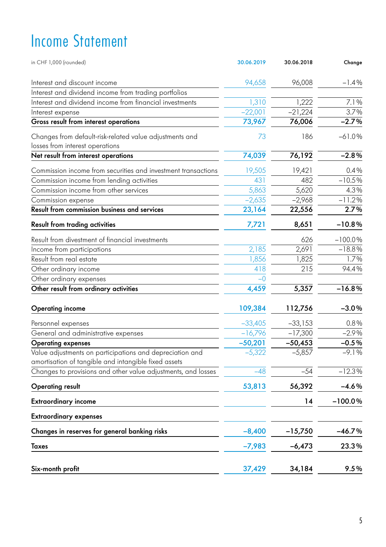# Income Statement

| in CHF 1,000 (rounded)                                                                                           | 30.06.2019 | 30.06.2018 | Change    |
|------------------------------------------------------------------------------------------------------------------|------------|------------|-----------|
| Interest and discount income                                                                                     | 94,658     | 96,008     | $-1.4%$   |
| Interest and dividend income from trading portfolios                                                             |            |            |           |
| Interest and dividend income from financial investments                                                          | 1,310      | 1,222      | 7.1%      |
| Interest expense                                                                                                 | $-22,001$  | $-21,224$  | 3.7%      |
| Gross result from interest operations                                                                            | 73,967     | 76,006     | $-2.7%$   |
| Changes from default-risk-related value adjustments and                                                          | 73         | 186        | $-61.0%$  |
| losses from interest operations                                                                                  |            |            |           |
| Net result from interest operations                                                                              | 74,039     | 76,192     | $-2.8%$   |
| Commission income from securities and investment transactions                                                    | 19,505     | 19,421     | 0.4%      |
| Commission income from lending activities                                                                        | 431        | 482        | $-10.5%$  |
| Commission income from other services                                                                            | 5,863      | 5,620      | 4.3%      |
| Commission expense                                                                                               | $-2,635$   | $-2,968$   | $-11.2%$  |
| Result from commission business and services                                                                     | 23,164     | 22,556     | 2.7%      |
| Result from trading activities                                                                                   | 7,721      | 8,651      | $-10.8%$  |
| Result from divestment of financial investments                                                                  |            | 626        | $-100.0%$ |
| Income from participations                                                                                       | 2,185      | 2,691      | $-18.8%$  |
| Result from real estate                                                                                          | 1,856      | 1,825      | 1.7%      |
| Other ordinary income                                                                                            | 418        | 215        | 94.4%     |
| Other ordinary expenses                                                                                          | $-0$       |            |           |
| Other result from ordinary activities                                                                            | 4,459      | 5,357      | $-16.8%$  |
| Operating income                                                                                                 | 109,384    | 112,756    | $-3.0%$   |
| Personnel expenses                                                                                               | $-33,405$  | $-33,153$  | 0.8%      |
| General and administrative expenses                                                                              | $-16,796$  | $-17,300$  | $-2.9%$   |
| <b>Operating expenses</b>                                                                                        | $-50,201$  | $-50,453$  | $-0.5%$   |
| Value adjustments on participations and depreciation and<br>amortisation of tangible and intangible fixed assets | $-5,322$   | $-5,857$   | $-9.1%$   |
| Changes to provisions and other value adjustments, and losses                                                    | $-48$      | $-54$      | $-12.3%$  |
| <b>Operating result</b>                                                                                          | 53,813     | 56,392     | $-4.6%$   |
| Extraordinary income                                                                                             |            | 14         | $-100.0%$ |
| <b>Extraordinary expenses</b>                                                                                    |            |            |           |
| Changes in reserves for general banking risks                                                                    | $-8,400$   | -15,750    | $-46.7%$  |
| Taxes                                                                                                            | $-7,983$   | $-6,473$   | 23.3%     |
| Six-month profit                                                                                                 | 37,429     | 34,184     | 9.5%      |
|                                                                                                                  |            |            |           |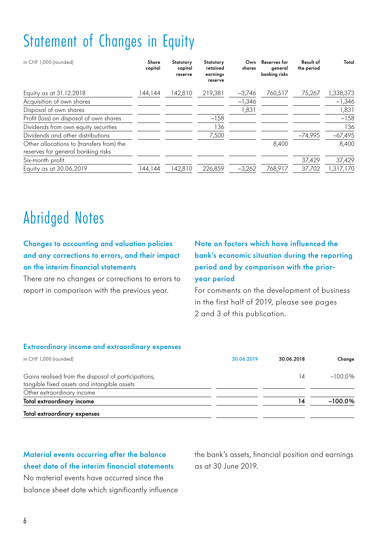## Statement of Changes in Equity

| in CHF 1,000 (rounded)                                                          | Share<br>capital | Statutory<br>capital<br>reserve | Statutory<br>retained<br>earnings<br>reserve | Own<br>shares | Reserves for<br>aeneral<br>banking risks | Result of<br>the period | Total     |
|---------------------------------------------------------------------------------|------------------|---------------------------------|----------------------------------------------|---------------|------------------------------------------|-------------------------|-----------|
| Equity as at 31.12.2018                                                         | 144,144          | 142.810                         | 219.381                                      | $-3.746$      | 760.517                                  | 75.267                  | 1,338,373 |
| Acquisition of own shares                                                       |                  |                                 |                                              | $-1,346$      |                                          |                         | $-1,346$  |
| Disposal of own shares                                                          |                  |                                 |                                              | 1,831         |                                          |                         | 1,831     |
| Profit (loss) on disposal of own shares                                         |                  |                                 | $-158$                                       |               |                                          |                         | $-158$    |
| Dividends from own equity securities                                            |                  |                                 | 136                                          |               |                                          |                         | 136       |
| Dividends and other distributions                                               |                  |                                 | 7,500                                        |               |                                          | $-74,995$               | $-67,495$ |
| Other allocations to (transfers from) the<br>reserves for general banking risks |                  |                                 |                                              |               | 8,400                                    |                         | 8,400     |
| Six-month profit                                                                |                  |                                 |                                              |               |                                          | 37,429                  | 37,429    |
| Equity as at 30.06.2019                                                         | 144,144          | 142.810                         | 226.859                                      | $-3.262$      | 768.917                                  | 37,702                  | 1,317,170 |

### Abridged Notes

#### Changes to accounting and valuation policies and any corrections to errors, and their impact on the interim financial statements

There are no changes or corrections to errors to report in comparison with the previous year.

#### Note on factors which have influenced the bank's economic situation during the reporting period and by comparison with the prioryear period

For comments on the development of business in the first half of 2019, please see pages 2 and 3 of this publication.

#### Extraordinary income and extraordinary expenses

| in CHF 1,000 (rounded)                                                                             | 30.06.2019 | 30.06.2018 | Change     |
|----------------------------------------------------------------------------------------------------|------------|------------|------------|
| Gains realised from the disposal of participations,<br>tangible fixed assets and intangible assets |            | 14         | $-100.0\%$ |
| Other extraordinary income                                                                         |            |            |            |
| Total extraordinary income                                                                         |            | 14         | $-100.0%$  |
| Total extraordinary expenses                                                                       |            |            |            |

#### Material events occurring after the balance sheet date of the interim financial statements

No material events have occurred since the balance sheet date which significantly influence the bank's assets, financial position and earnings as at 30 June 2019.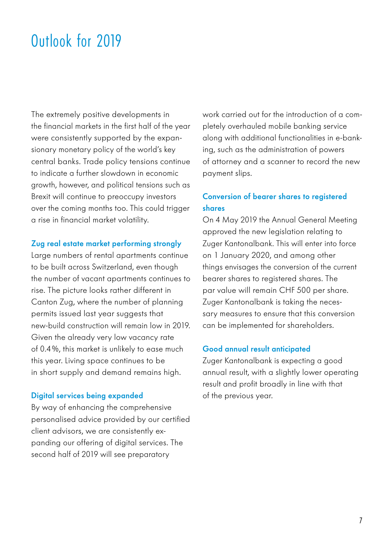### Outlook for 2019

The extremely positive developments in the financial markets in the first half of the year were consistently supported by the expansionary monetary policy of the world's key central banks. Trade policy tensions continue to indicate a further slowdown in economic growth, however, and political tensions such as Brexit will continue to preoccupy investors over the coming months too. This could trigger a rise in financial market volatility.

#### Zug real estate market performing strongly

Large numbers of rental apartments continue to be built across Switzerland, even though the number of vacant apartments continues to rise. The picture looks rather different in Canton Zug, where the number of planning permits issued last year suggests that new-build construction will remain low in 2019. Given the already very low vacancy rate of 0.4%, this market is unlikely to ease much this year. Living space continues to be in short supply and demand remains high.

#### Digital services being expanded

By way of enhancing the comprehensive personalised advice provided by our certified client advisors, we are consistently expanding our offering of digital services. The second half of 2019 will see preparatory

work carried out for the introduction of a completely overhauled mobile banking service along with additional functionalities in e-banking, such as the administration of powers of attorney and a scanner to record the new payment slips.

#### Conversion of bearer shares to registered shares

On 4 May 2019 the Annual General Meeting approved the new legislation relating to Zuger Kantonalbank. This will enter into force on 1 January 2020, and among other things envisages the conversion of the current bearer shares to registered shares. The par value will remain CHF 500 per share. Zuger Kantonalbank is taking the necessary measures to ensure that this conversion can be implemented for shareholders.

#### Good annual result anticipated

Zuger Kantonalbank is expecting a good annual result, with a slightly lower operating result and profit broadly in line with that of the previous year.